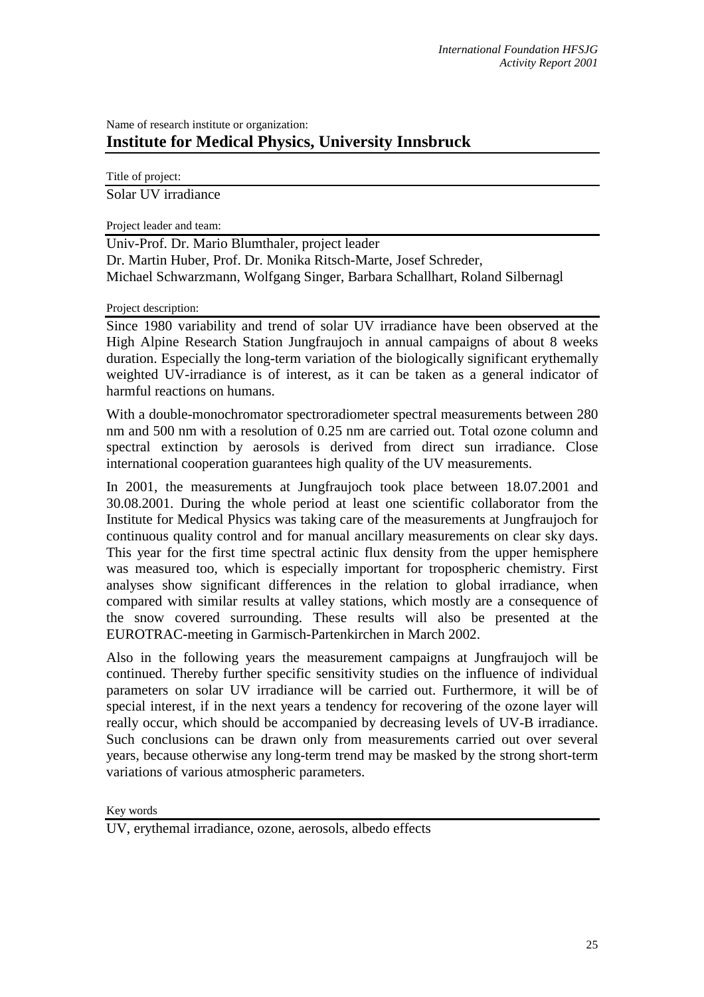## Name of research institute or organization: **Institute for Medical Physics, University Innsbruck**

Title of project: Solar UV irradiance

Project leader and team:

Univ-Prof. Dr. Mario Blumthaler, project leader Dr. Martin Huber, Prof. Dr. Monika Ritsch-Marte, Josef Schreder, Michael Schwarzmann, Wolfgang Singer, Barbara Schallhart, Roland Silbernagl

Project description:

Since 1980 variability and trend of solar UV irradiance have been observed at the High Alpine Research Station Jungfraujoch in annual campaigns of about 8 weeks duration. Especially the long-term variation of the biologically significant erythemally weighted UV-irradiance is of interest, as it can be taken as a general indicator of harmful reactions on humans.

With a double-monochromator spectroradiometer spectral measurements between 280 nm and 500 nm with a resolution of 0.25 nm are carried out. Total ozone column and spectral extinction by aerosols is derived from direct sun irradiance. Close international cooperation guarantees high quality of the UV measurements.

In 2001, the measurements at Jungfraujoch took place between 18.07.2001 and 30.08.2001. During the whole period at least one scientific collaborator from the Institute for Medical Physics was taking care of the measurements at Jungfraujoch for continuous quality control and for manual ancillary measurements on clear sky days. This year for the first time spectral actinic flux density from the upper hemisphere was measured too, which is especially important for tropospheric chemistry. First analyses show significant differences in the relation to global irradiance, when compared with similar results at valley stations, which mostly are a consequence of the snow covered surrounding. These results will also be presented at the EUROTRAC-meeting in Garmisch-Partenkirchen in March 2002.

Also in the following years the measurement campaigns at Jungfraujoch will be continued. Thereby further specific sensitivity studies on the influence of individual parameters on solar UV irradiance will be carried out. Furthermore, it will be of special interest, if in the next years a tendency for recovering of the ozone layer will really occur, which should be accompanied by decreasing levels of UV-B irradiance. Such conclusions can be drawn only from measurements carried out over several years, because otherwise any long-term trend may be masked by the strong short-term variations of various atmospheric parameters.

Key words

UV, erythemal irradiance, ozone, aerosols, albedo effects